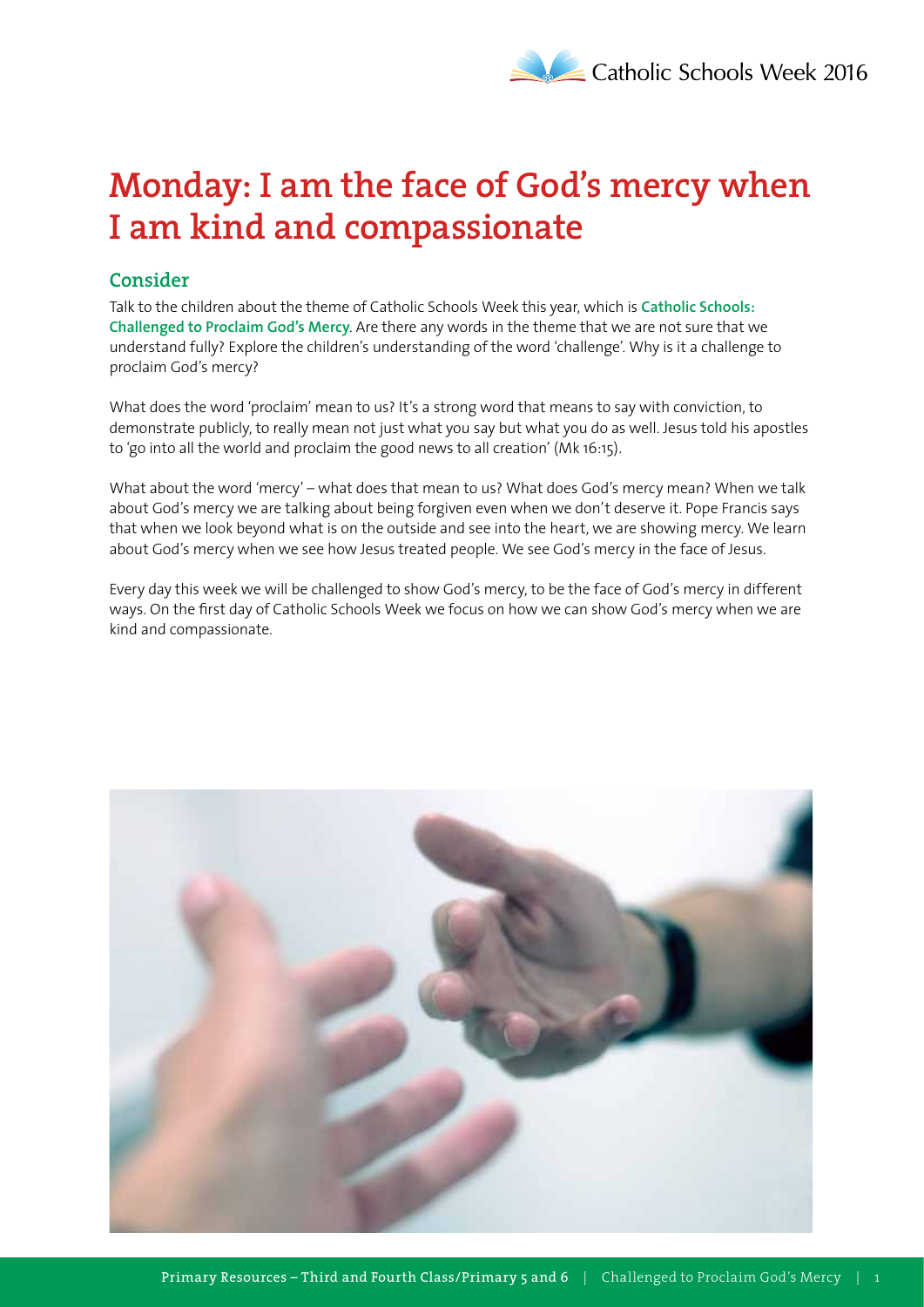# **Monday: I am the face of God's mercy when I am kind and compassionate**

# **Consider**

Talk to the children about the theme of Catholic Schools Week this year, which is **Catholic Schools: Challenged to Proclaim God's Mercy**. Are there any words in the theme that we are not sure that we understand fully? Explore the children's understanding of the word 'challenge'. Why is it a challenge to proclaim God's mercy?

What does the word 'proclaim' mean to us? It's a strong word that means to say with conviction, to demonstrate publicly, to really mean not just what you say but what you do as well. Jesus told his apostles to 'go into all the world and proclaim the good news to all creation' (Mk 16:15).

What about the word 'mercy' – what does that mean to us? What does God's mercy mean? When we talk about God's mercy we are talking about being forgiven even when we don't deserve it. Pope Francis says that when we look beyond what is on the outside and see into the heart, we are showing mercy. We learn about God's mercy when we see how Jesus treated people. We see God's mercy in the face of Jesus.

Every day this week we will be challenged to show God's mercy, to be the face of God's mercy in different ways. On the first day of Catholic Schools Week we focus on how we can show God's mercy when we are kind and compassionate.

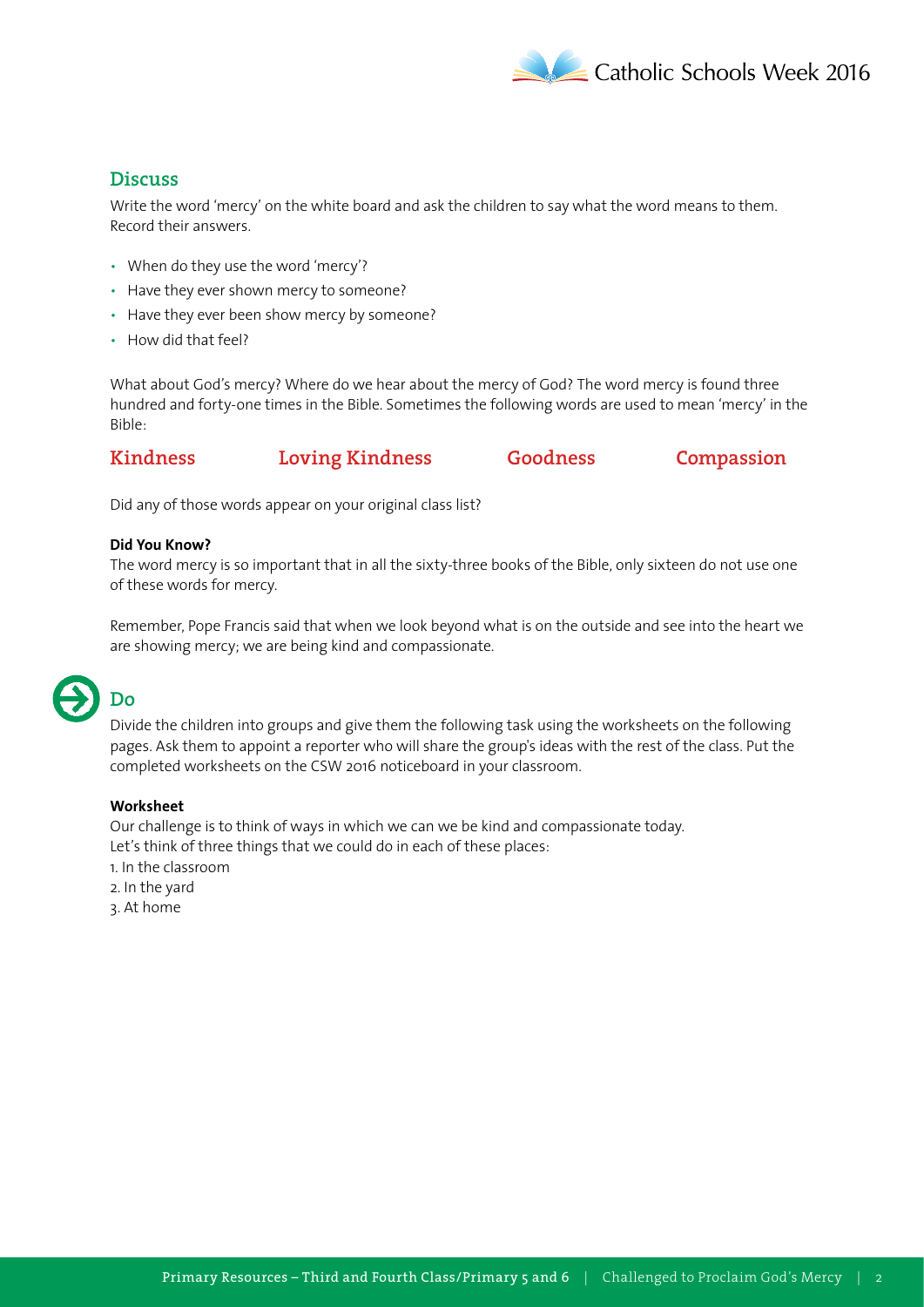

# **Discuss**

Write the word 'mercy' on the white board and ask the children to say what the word means to them. Record their answers.

- When do they use the word 'mercy'?
- Have they ever shown mercy to someone?
- Have they ever been show mercy by someone?
- How did that feel?

What about God's mercy? Where do we hear about the mercy of God? The word mercy is found three hundred and forty-one times in the Bible. Sometimes the following words are used to mean 'mercy' in the Bible:

### **Kindness Loving Kindness Goodness Compassion**

Did any of those words appear on your original class list?

#### **Did You Know?**

The word mercy is so important that in all the sixty-three books of the Bible, only sixteen do not use one of these words for mercy.

Remember, Pope Francis said that when we look beyond what is on the outside and see into the heart we are showing mercy; we are being kind and compassionate.

# **Do**

Divide the children into groups and give them the following task using the worksheets on the following pages. Ask them to appoint a reporter who will share the group's ideas with the rest of the class. Put the completed worksheets on the CSW 2016 noticeboard in your classroom.

### **Worksheet**

Our challenge is to think of ways in which we can we be kind and compassionate today. Let's think of three things that we could do in each of these places: 1. In the classroom

- 2. In the yard
- 3. At home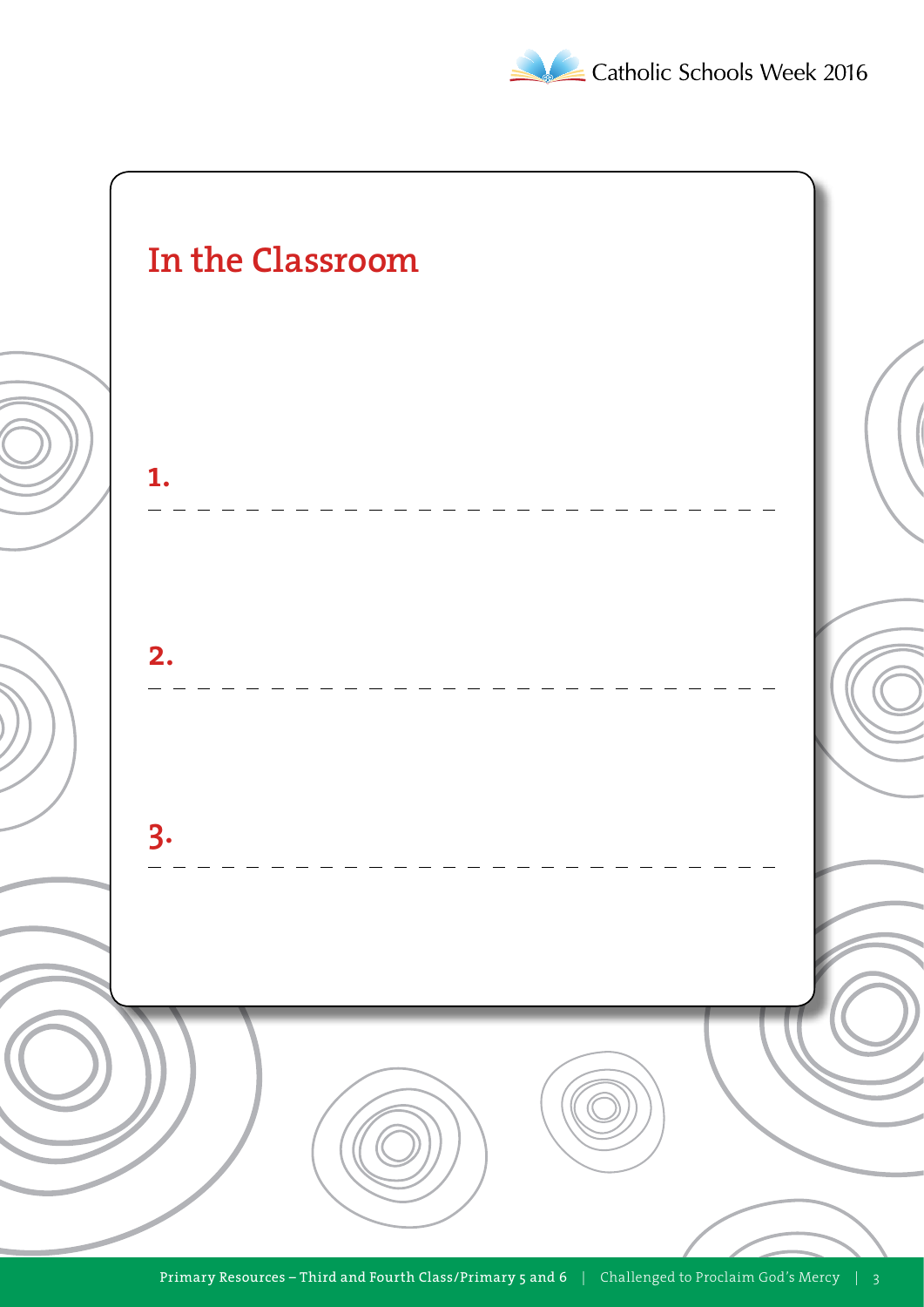

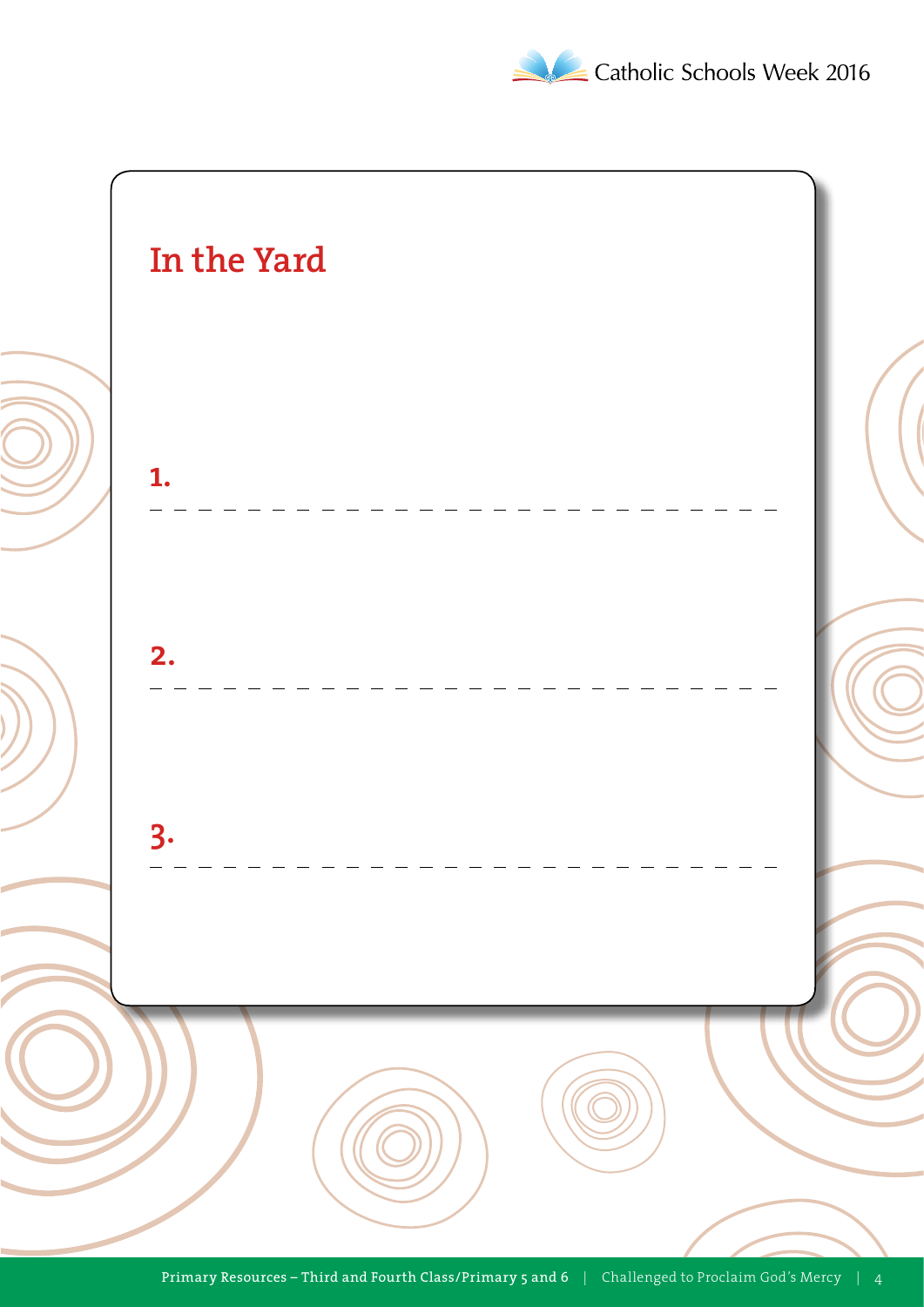

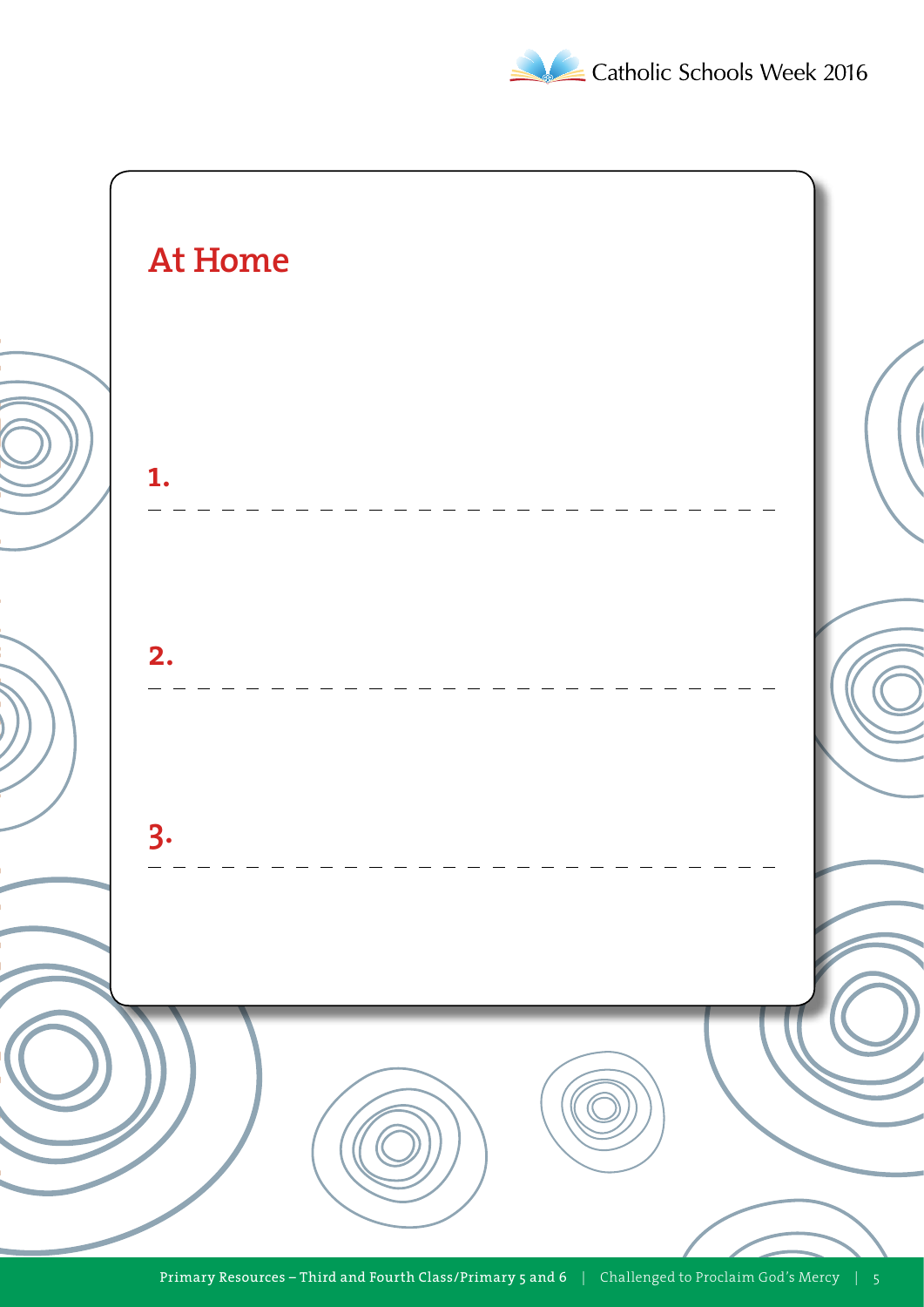Catholic Schools Week 2016

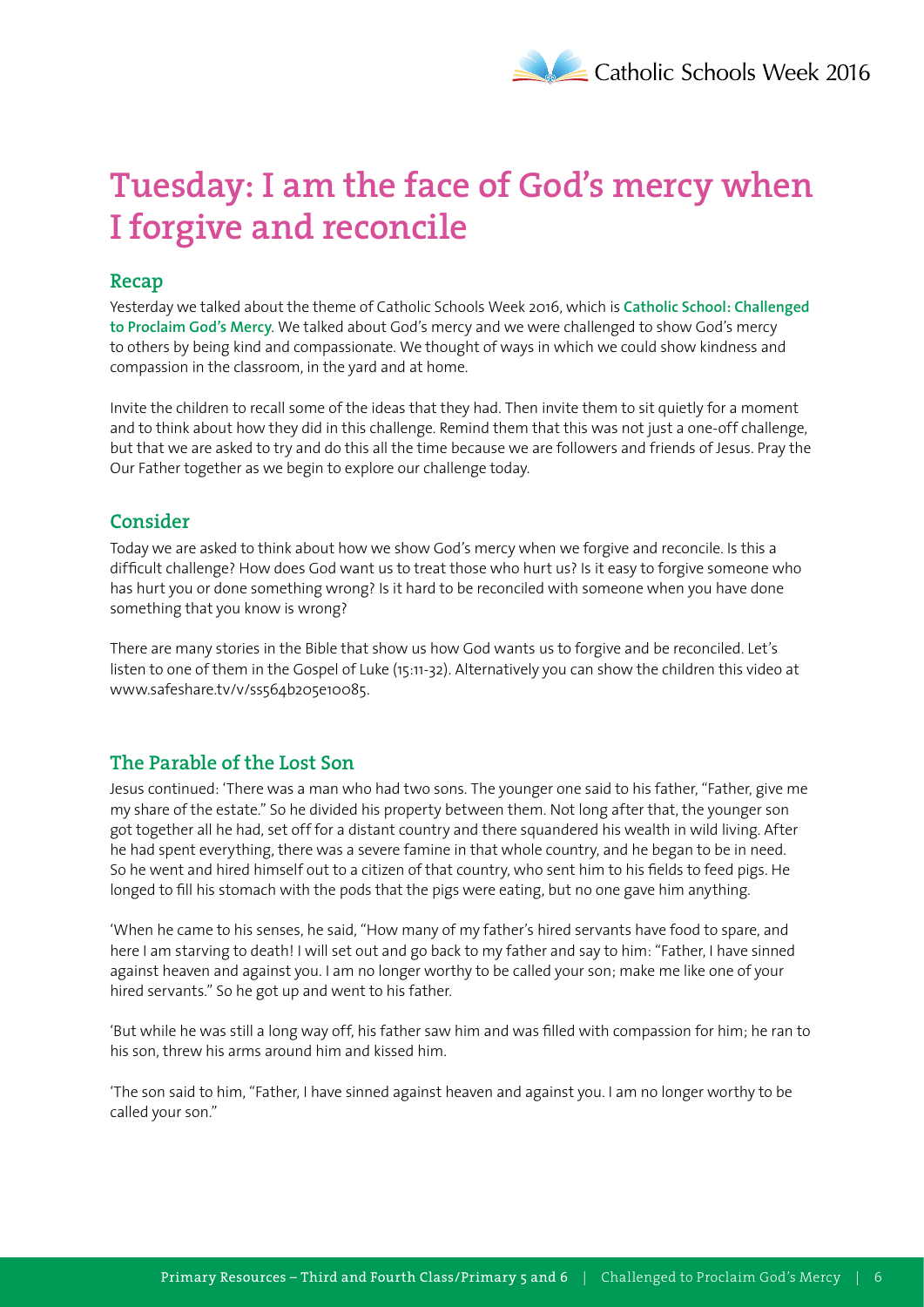# **Tuesday: I am the face of God's mercy when I forgive and reconcile**

### **Recap**

Yesterday we talked about the theme of Catholic Schools Week 2016, which is **Catholic School: Challenged to Proclaim God's Mercy**. We talked about God's mercy and we were challenged to show God's mercy to others by being kind and compassionate. We thought of ways in which we could show kindness and compassion in the classroom, in the yard and at home.

Invite the children to recall some of the ideas that they had. Then invite them to sit quietly for a moment and to think about how they did in this challenge. Remind them that this was not just a one-off challenge, but that we are asked to try and do this all the time because we are followers and friends of Jesus. Pray the Our Father together as we begin to explore our challenge today.

# **Consider**

Today we are asked to think about how we show God's mercy when we forgive and reconcile. Is this a difficult challenge? How does God want us to treat those who hurt us? Is it easy to forgive someone who has hurt you or done something wrong? Is it hard to be reconciled with someone when you have done something that you know is wrong?

There are many stories in the Bible that show us how God wants us to forgive and be reconciled. Let's listen to one of them in the Gospel of Luke (15:11-32). Alternatively you can show the children this video at www.safeshare.tv/v/ss564b205e10085.

# **The Parable of the Lost Son**

Jesus continued: 'There was a man who had two sons. The younger one said to his father, "Father, give me my share of the estate." So he divided his property between them. Not long after that, the younger son got together all he had, set off for a distant country and there squandered his wealth in wild living. After he had spent everything, there was a severe famine in that whole country, and he began to be in need. So he went and hired himself out to a citizen of that country, who sent him to his fields to feed pigs. He longed to fill his stomach with the pods that the pigs were eating, but no one gave him anything.

'When he came to his senses, he said, "How many of my father's hired servants have food to spare, and here I am starving to death! I will set out and go back to my father and say to him: "Father, I have sinned against heaven and against you. I am no longer worthy to be called your son; make me like one of your hired servants." So he got up and went to his father.

'But while he was still a long way off, his father saw him and was filled with compassion for him; he ran to his son, threw his arms around him and kissed him.

'The son said to him, "Father, I have sinned against heaven and against you. I am no longer worthy to be called your son."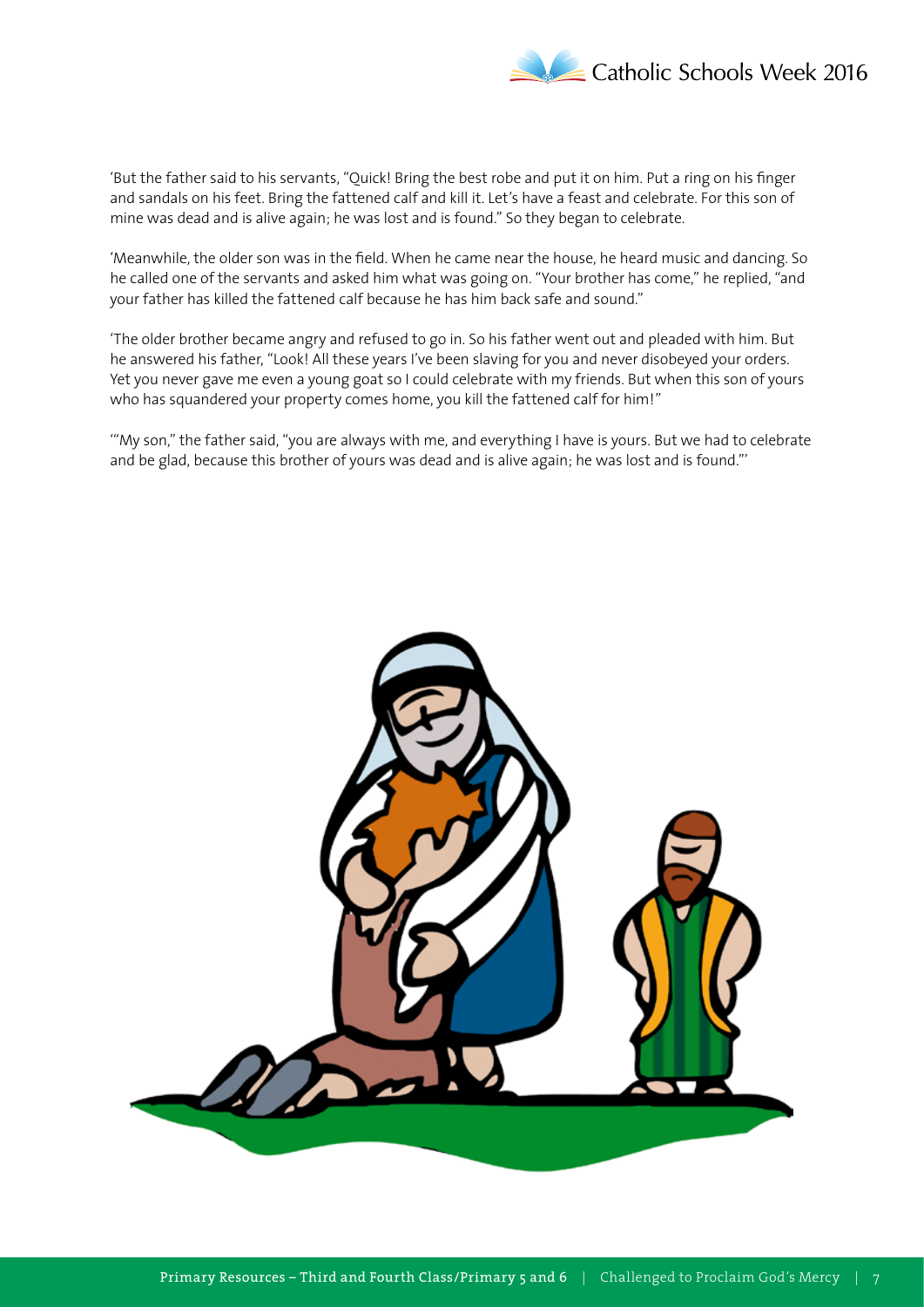

'But the father said to his servants, "Quick! Bring the best robe and put it on him. Put a ring on his finger and sandals on his feet. Bring the fattened calf and kill it. Let's have a feast and celebrate. For this son of mine was dead and is alive again; he was lost and is found." So they began to celebrate.

'Meanwhile, the older son was in the field. When he came near the house, he heard music and dancing. So he called one of the servants and asked him what was going on. "Your brother has come," he replied, "and your father has killed the fattened calf because he has him back safe and sound."

'The older brother became angry and refused to go in. So his father went out and pleaded with him. But he answered his father, "Look! All these years I've been slaving for you and never disobeyed your orders. Yet you never gave me even a young goat so I could celebrate with my friends. But when this son of yours who has squandered your property comes home, you kill the fattened calf for him!"

'"My son," the father said, "you are always with me, and everything I have is yours. But we had to celebrate and be glad, because this brother of yours was dead and is alive again; he was lost and is found."'

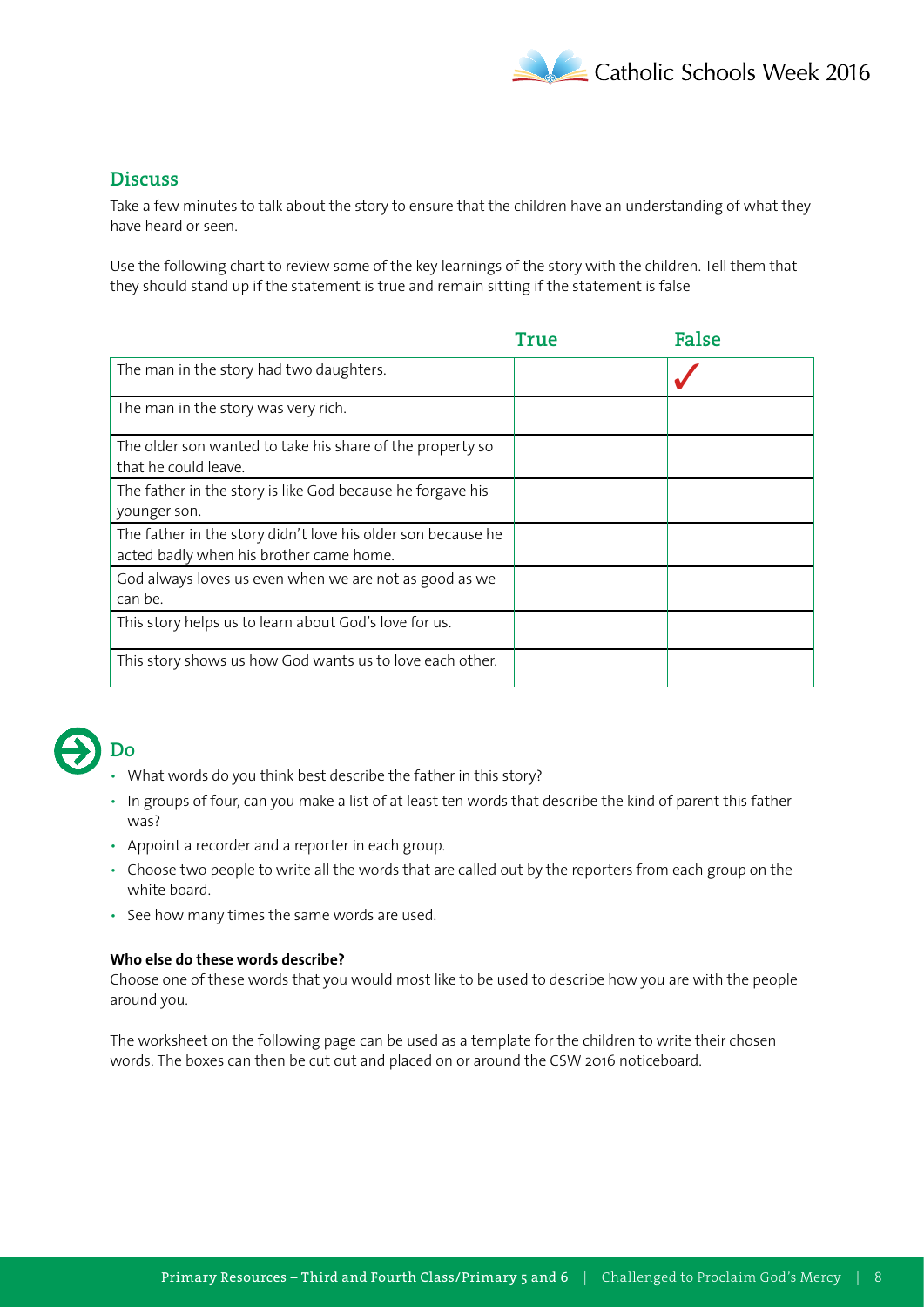

# **Discuss**

Take a few minutes to talk about the story to ensure that the children have an understanding of what they have heard or seen.

Use the following chart to review some of the key learnings of the story with the children. Tell them that they should stand up if the statement is true and remain sitting if the statement is false

|                                                                                                         | True | <b>False</b> |
|---------------------------------------------------------------------------------------------------------|------|--------------|
| The man in the story had two daughters.                                                                 |      |              |
| The man in the story was very rich.                                                                     |      |              |
| The older son wanted to take his share of the property so<br>that he could leave.                       |      |              |
| The father in the story is like God because he forgave his<br>younger son.                              |      |              |
| The father in the story didn't love his older son because he<br>acted badly when his brother came home. |      |              |
| God always loves us even when we are not as good as we<br>can be.                                       |      |              |
| This story helps us to learn about God's love for us.                                                   |      |              |
| This story shows us how God wants us to love each other.                                                |      |              |



- What words do you think best describe the father in this story?
- In groups of four, can you make a list of at least ten words that describe the kind of parent this father was?
- Appoint a recorder and a reporter in each group.
- Choose two people to write all the words that are called out by the reporters from each group on the white board.
- See how many times the same words are used.

### **Who else do these words describe?**

Choose one of these words that you would most like to be used to describe how you are with the people around you.

The worksheet on the following page can be used as a template for the children to write their chosen words. The boxes can then be cut out and placed on or around the CSW 2016 noticeboard.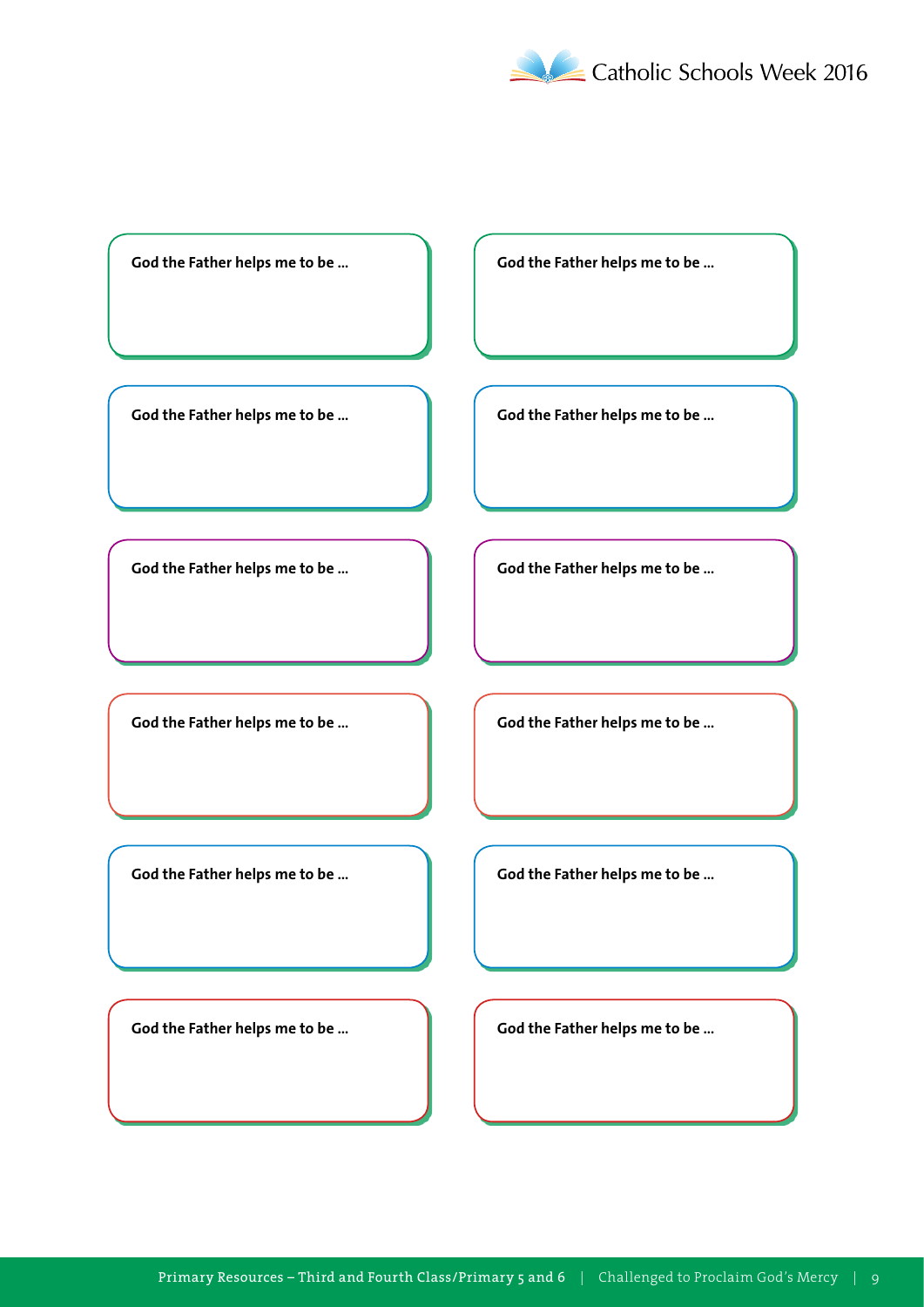

God the Father helps me to be ... **A Cod the Father helps me to be ...** 

God the Father helps me to be ... **God the Father helps me to be ...** 

God the Father helps me to be ... **All Cod the Father helps me to be ...** 

God the Father helps me to be ... **God the Father helps me to be ...** 

God the Father helps me to be ... **God the Father helps me to be ...** 

God the Father helps me to be ... **God the Father helps me to be ...**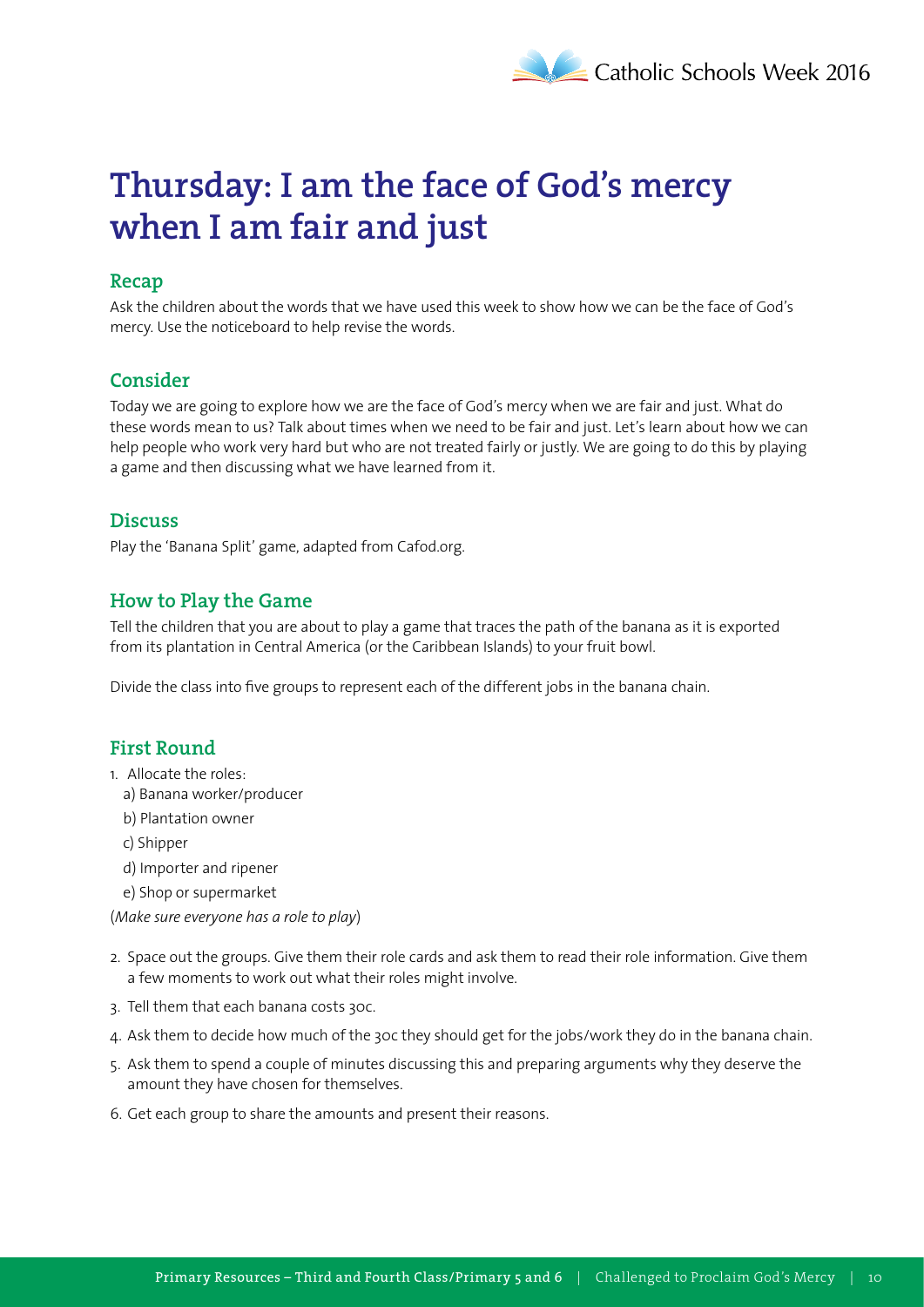# **Thursday: I am the face of God's mercy when I am fair and just**

# **Recap**

Ask the children about the words that we have used this week to show how we can be the face of God's mercy. Use the noticeboard to help revise the words.

# **Consider**

Today we are going to explore how we are the face of God's mercy when we are fair and just. What do these words mean to us? Talk about times when we need to be fair and just. Let's learn about how we can help people who work very hard but who are not treated fairly or justly. We are going to do this by playing a game and then discussing what we have learned from it.

# **Discuss**

Play the 'Banana Split' game, adapted from Cafod.org.

# **How to Play the Game**

Tell the children that you are about to play a game that traces the path of the banana as it is exported from its plantation in Central America (or the Caribbean Islands) to your fruit bowl.

Divide the class into five groups to represent each of the different jobs in the banana chain.

# **First Round**

- 1. Allocate the roles:
	- a) Banana worker/producer
	- b) Plantation owner
	- c) Shipper
	- d) Importer and ripener
	- e) Shop or supermarket

(*Make sure everyone has a role to play*)

- 2. Space out the groups. Give them their role cards and ask them to read their role information. Give them a few moments to work out what their roles might involve.
- 3. Tell them that each banana costs 30c.
- 4. Ask them to decide how much of the 30c they should get for the jobs/work they do in the banana chain.
- 5. Ask them to spend a couple of minutes discussing this and preparing arguments why they deserve the amount they have chosen for themselves.
- 6. Get each group to share the amounts and present their reasons.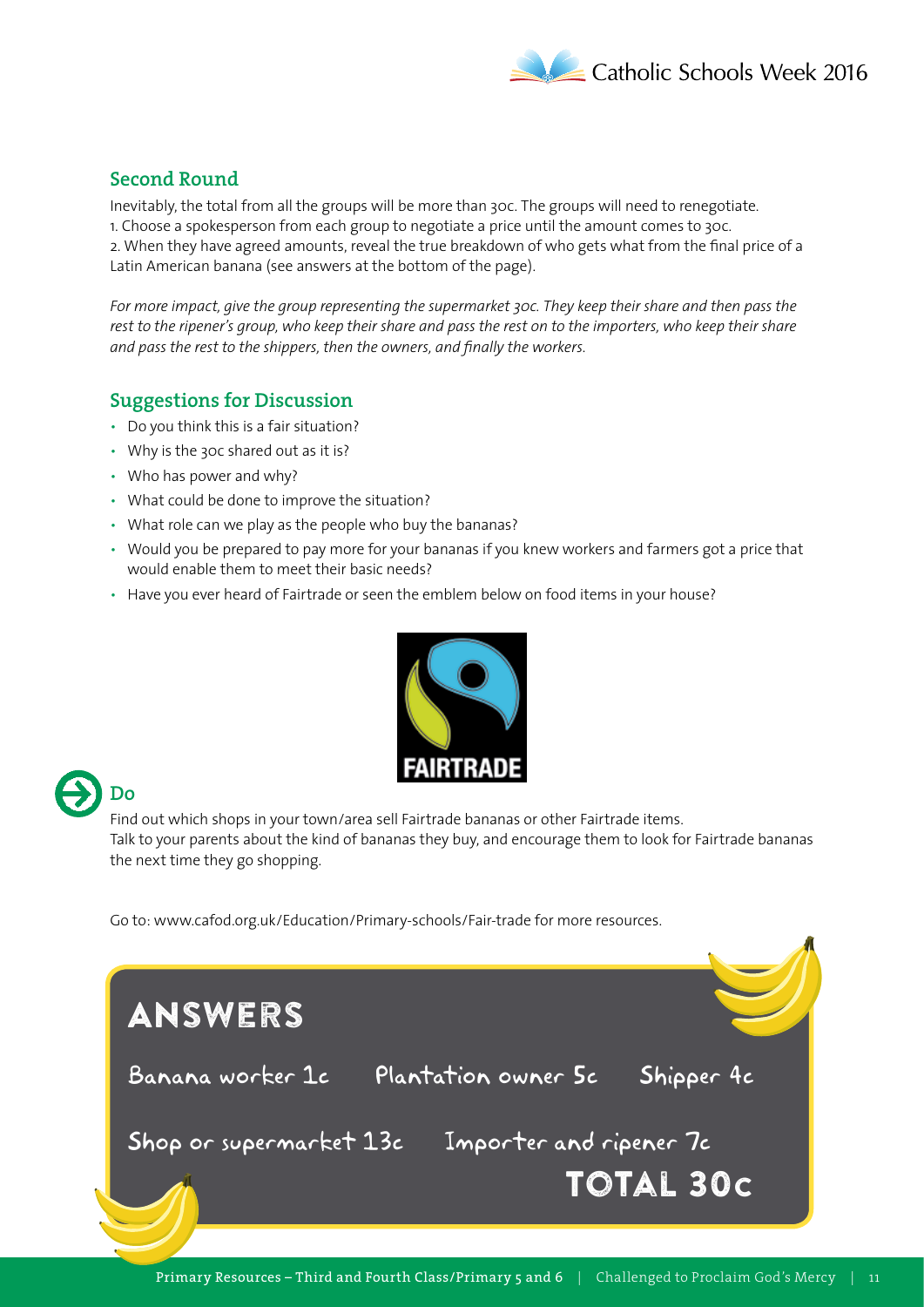

# **Second Round**

Inevitably, the total from all the groups will be more than 30c. The groups will need to renegotiate. 1. Choose a spokesperson from each group to negotiate a price until the amount comes to 30c. 2. When they have agreed amounts, reveal the true breakdown of who gets what from the final price of a Latin American banana (see answers at the bottom of the page).

*For more impact, give the group representing the supermarket 30c. They keep their share and then pass the rest to the ripener's group, who keep their share and pass the rest on to the importers, who keep their share and pass the rest to the shippers, then the owners, and finally the workers.*

### **Suggestions for Discussion**

- Do you think this is a fair situation?
- Why is the 30c shared out as it is?
- Who has power and why?
- What could be done to improve the situation?
- What role can we play as the people who buy the bananas?
- Would you be prepared to pay more for your bananas if you knew workers and farmers got a price that would enable them to meet their basic needs?
- Have you ever heard of Fairtrade or seen the emblem below on food items in your house?



# **Do**

Find out which shops in your town/area sell Fairtrade bananas or other Fairtrade items. Talk to your parents about the kind of bananas they buy, and encourage them to look for Fairtrade bananas the next time they go shopping.

Go to: www.cafod.org.uk/Education/Primary-schools/Fair-trade for more resources.

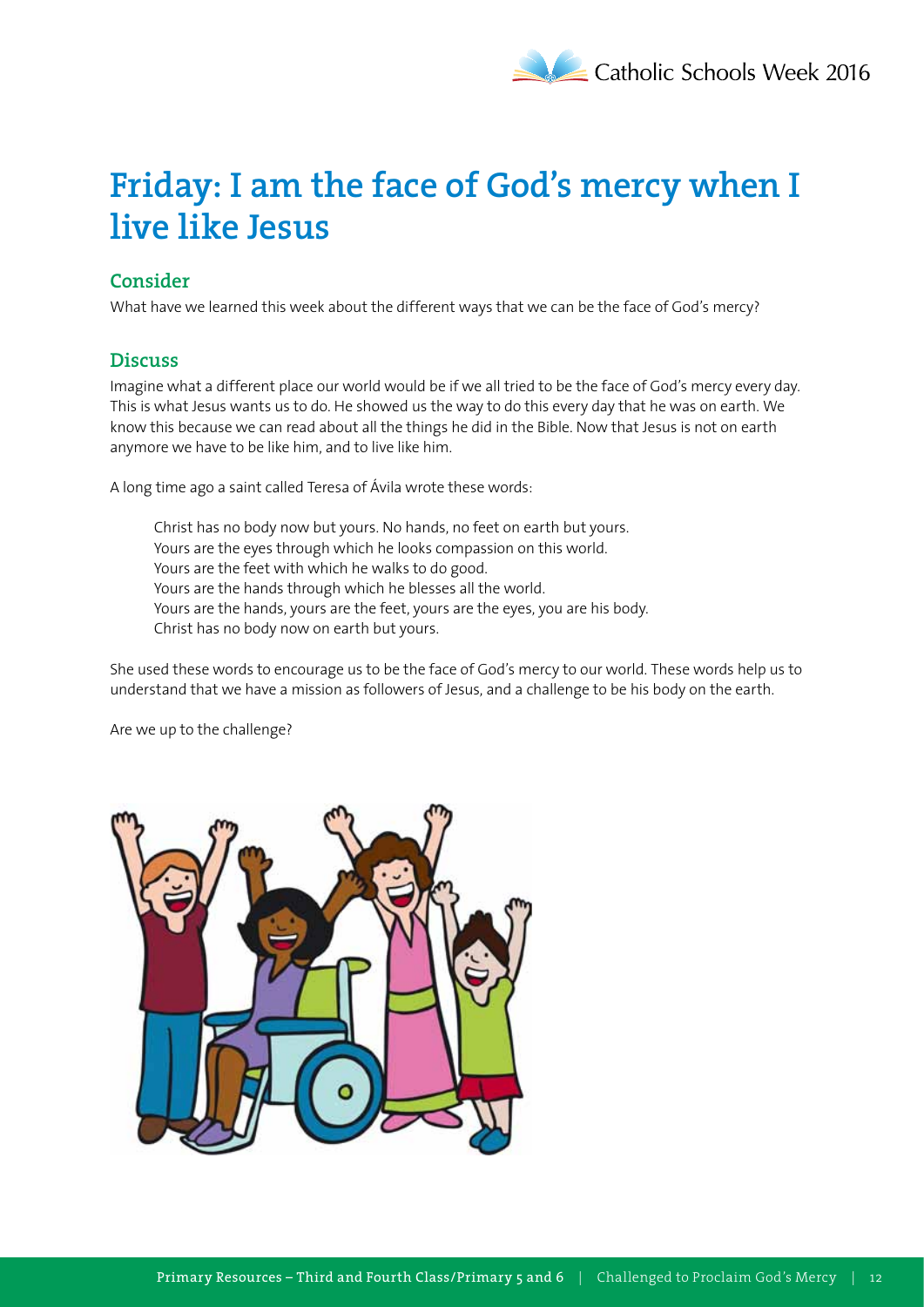# **Friday: I am the face of God's mercy when I live like Jesus**

# **Consider**

What have we learned this week about the different ways that we can be the face of God's mercy?

### **Discuss**

Imagine what a different place our world would be if we all tried to be the face of God's mercy every day. This is what Jesus wants us to do. He showed us the way to do this every day that he was on earth. We know this because we can read about all the things he did in the Bible. Now that Jesus is not on earth anymore we have to be like him, and to live like him.

A long time ago a saint called Teresa of Ávila wrote these words:

Christ has no body now but yours. No hands, no feet on earth but yours. Yours are the eyes through which he looks compassion on this world. Yours are the feet with which he walks to do good. Yours are the hands through which he blesses all the world. Yours are the hands, yours are the feet, yours are the eyes, you are his body. Christ has no body now on earth but yours.

She used these words to encourage us to be the face of God's mercy to our world. These words help us to understand that we have a mission as followers of Jesus, and a challenge to be his body on the earth.

Are we up to the challenge?